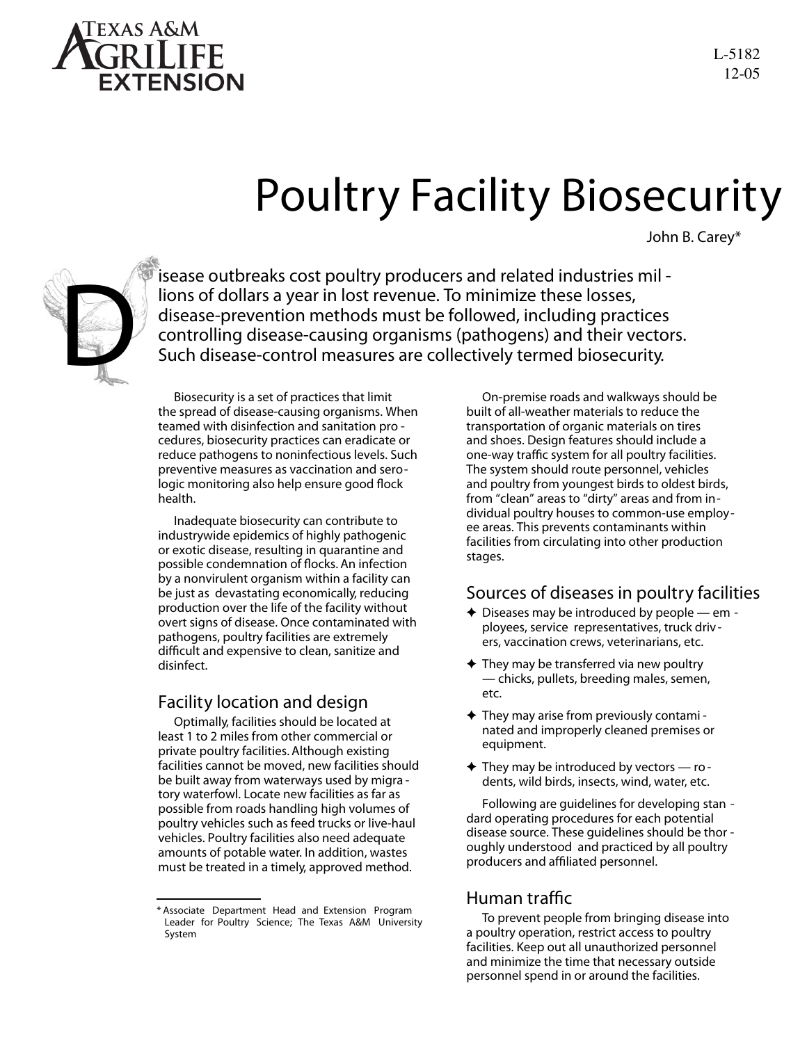

### Poultry Facility Biosecurity

John B. Carey\*



isease outbreaks cost poultry producers and related industries mil lions of dollars a year in lost revenue. To minimize these losses, disease-prevention methods must be followed, including practices controlling disease-causing organisms (pathogens) and their vectors. Such disease-control measures are collectively termed biosecurity.

Biosecurity is a set of practices that limit the spread of disease-causing organisms. When teamed with disinfection and sanitation pro cedures, biosecurity practices can eradicate or reduce pathogens to noninfectious levels. Such preventive measures as vaccination and serologic monitoring also help ensure good flock health.

Inadequate biosecurity can contribute to industrywide epidemics of highly pathogenic or exotic disease, resulting in quarantine and possible condemnation of flocks. An infection by a nonvirulent organism within a facility can be just as devastating economically, reducing production over the life of the facility without overt signs of disease. Once contaminated with pathogens, poultry facilities are extremely difficult and expensive to clean, sanitize and disinfect.

#### Facility location and design

Optimally, facilities should be located at least 1 to 2 miles from other commercial or private poultry facilities. Although existing facilities cannot be moved, new facilities should be built away from waterways used by migra tory waterfowl. Locate new facilities as far as possible from roads handling high volumes of poultry vehicles such as feed trucks or live-haul vehicles. Poultry facilities also need adequate amounts of potable water. In addition, wastes must be treated in a timely, approved method.

On-premise roads and walkways should be built of all-weather materials to reduce the transportation of organic materials on tires and shoes. Design features should include a one-way traffic system for all poultry facilities. The system should route personnel, vehicles and poultry from youngest birds to oldest birds, from "clean" areas to "dirty" areas and from individual poultry houses to common-use employee areas. This prevents contaminants within facilities from circulating into other production stages.

#### Sources of diseases in poultry facilities

- $\triangle$  Diseases may be introduced by people em ployees, service representatives, truck driv ers, vaccination crews, veterinarians, etc.
- $\triangle$  They may be transferred via new poultry — chicks, pullets, breeding males, semen, etc.
- $\triangle$  They may arise from previously contami nated and improperly cleaned premises or equipment.
- $\blacklozenge$  They may be introduced by vectors  $-$  ro dents, wild birds, insects, wind, water, etc.

Following are guidelines for developing stan dard operating procedures for each potential disease source. These guidelines should be thor oughly understood and practiced by all poultry producers and affiliated personnel.

#### Human traffic

To prevent people from bringing disease into a poultry operation, restrict access to poultry facilities. Keep out all unauthorized personnel and minimize the time that necessary outside personnel spend in or around the facilities.

*<sup>\*</sup> Associate Department Head and Extension Program Leader for Poultry Science; The Texas A&M University System*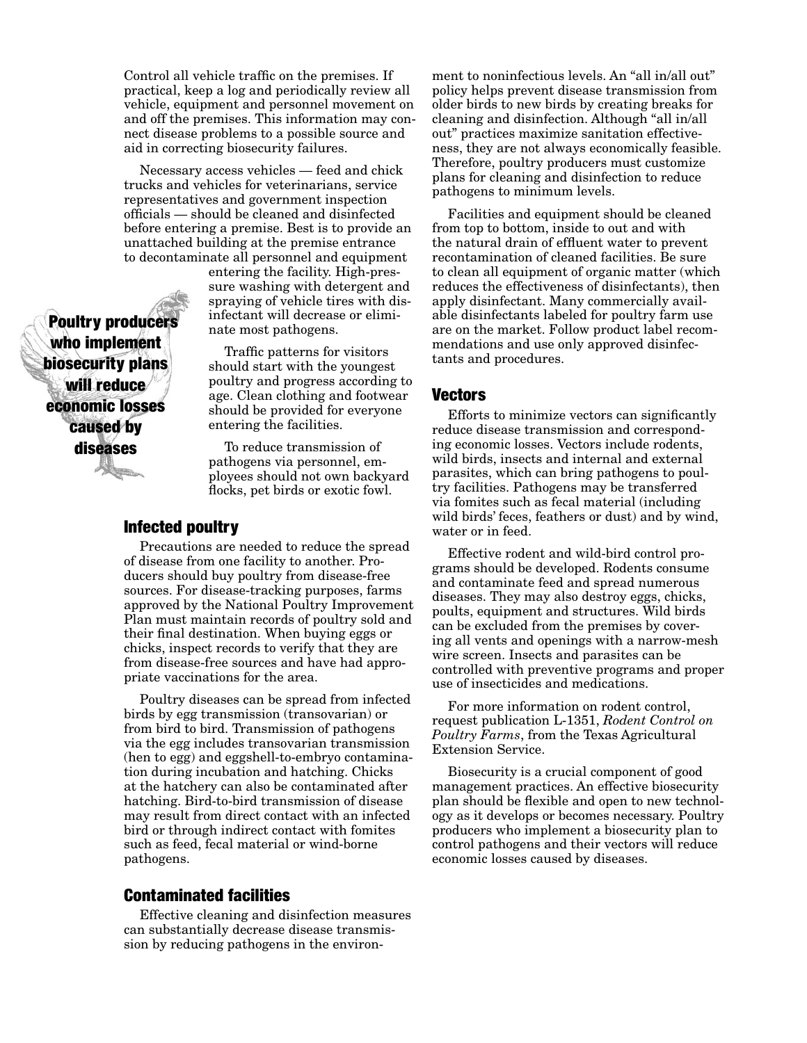Control all vehicle traffic on the premises. If practical, keep a log and periodically review all vehicle, equipment and personnel movement on and off the premises. This information may connect disease problems to a possible source and aid in correcting biosecurity failures.

Necessary access vehicles — feed and chick trucks and vehicles for veterinarians, service representatives and government inspection officials — should be cleaned and disinfected before entering a premise. Best is to provide an unattached building at the premise entrance to decontaminate all personnel and equipment

entering the facility. High-pressure washing with detergent and spraying of vehicle tires with disinfectant will decrease or eliminate most pathogens.

Traffic patterns for visitors should start with the youngest poultry and progress according to age. Clean clothing and footwear should be provided for everyone entering the facilities.

To reduce transmission of pathogens via personnel, employees should not own backyard flocks, pet birds or exotic fowl.

#### Infected poultry

Precautions are needed to reduce the spread of disease from one facility to another. Producers should buy poultry from disease-free sources. For disease-tracking purposes, farms approved by the National Poultry Improvement Plan must maintain records of poultry sold and their final destination. When buying eggs or chicks, inspect records to verify that they are from disease-free sources and have had appropriate vaccinations for the area.

Poultry diseases can be spread from infected birds by egg transmission (transovarian) or from bird to bird. Transmission of pathogens via the egg includes transovarian transmission (hen to egg) and eggshell-to-embryo contamination during incubation and hatching. Chicks at the hatchery can also be contaminated after hatching. Bird-to-bird transmission of disease may result from direct contact with an infected bird or through indirect contact with fomites such as feed, fecal material or wind-borne pathogens.

#### Contaminated facilities

Effective cleaning and disinfection measures can substantially decrease disease transmission by reducing pathogens in the environment to noninfectious levels. An "all in/all out" policy helps prevent disease transmission from older birds to new birds by creating breaks for cleaning and disinfection. Although "all in/all out" practices maximize sanitation effectiveness, they are not always economically feasible. Therefore, poultry producers must customize plans for cleaning and disinfection to reduce pathogens to minimum levels.

Facilities and equipment should be cleaned from top to bottom, inside to out and with the natural drain of effluent water to prevent recontamination of cleaned facilities. Be sure to clean all equipment of organic matter (which reduces the effectiveness of disinfectants), then apply disinfectant. Many commercially available disinfectants labeled for poultry farm use are on the market. Follow product label recommendations and use only approved disinfectants and procedures.

#### Vectors

Efforts to minimize vectors can significantly reduce disease transmission and corresponding economic losses. Vectors include rodents, wild birds, insects and internal and external parasites, which can bring pathogens to poultry facilities. Pathogens may be transferred via fomites such as fecal material (including wild birds' feces, feathers or dust) and by wind, water or in feed.

Effective rodent and wild-bird control programs should be developed. Rodents consume and contaminate feed and spread numerous diseases. They may also destroy eggs, chicks, poults, equipment and structures. Wild birds can be excluded from the premises by covering all vents and openings with a narrow-mesh wire screen. Insects and parasites can be controlled with preventive programs and proper use of insecticides and medications.

For more information on rodent control, request publication L-1351, *Rodent Control on Poultry Farms*, from the Texas Agricultural Extension Service.

Biosecurity is a crucial component of good management practices. An effective biosecurity plan should be flexible and open to new technology as it develops or becomes necessary. Poultry producers who implement a biosecurity plan to control pathogens and their vectors will reduce economic losses caused by diseases.

Poultry producers who implement biosecurity plans will reduce economic losses caused by diseases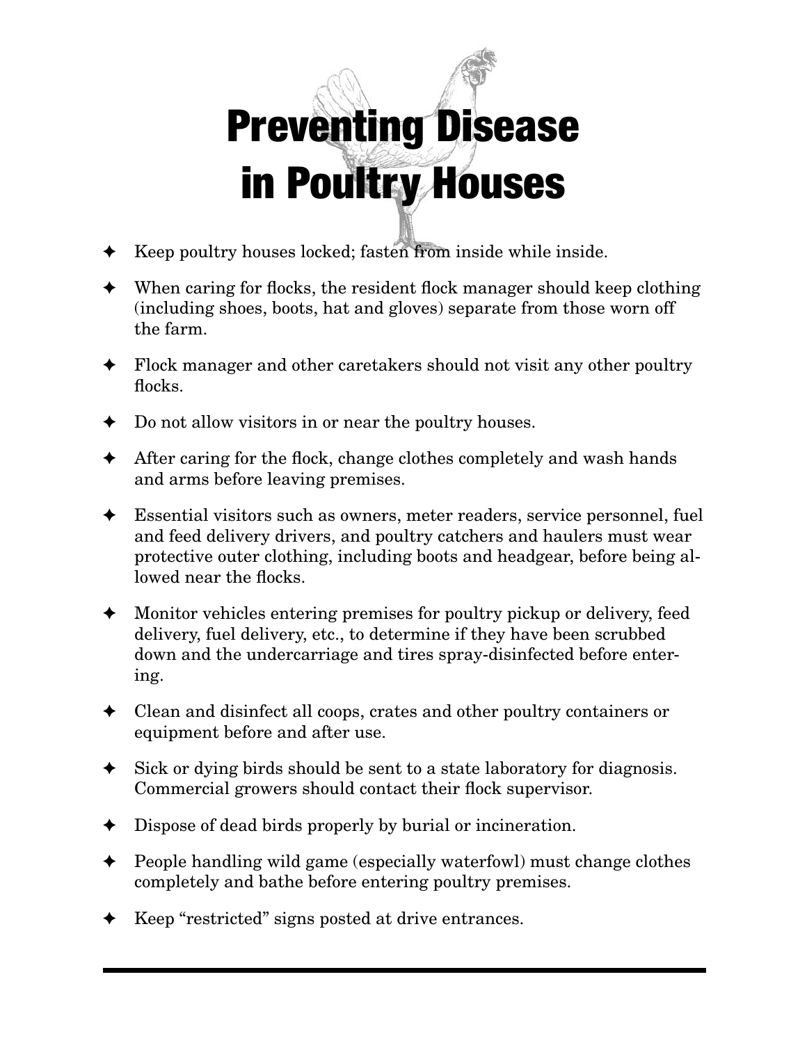# Preventing Disease in Poultry Houses

- Keep poultry houses locked; fasten from inside while inside.
- $\blacklozenge$  When caring for flocks, the resident flock manager should keep clothing (including shoes, boots, hat and gloves) separate from those worn off the farm.
- Flock manager and other caretakers should not visit any other poultry flocks.
- Do not allow visitors in or near the poultry houses.
- $\triangle$  After caring for the flock, change clothes completely and wash hands and arms before leaving premises.
- Essential visitors such as owners, meter readers, service personnel, fuel and feed delivery drivers, and poultry catchers and haulers must wear protective outer clothing, including boots and headgear, before being allowed near the flocks.
- Monitor vehicles entering premises for poultry pickup or delivery, feed delivery, fuel delivery, etc., to determine if they have been scrubbed down and the undercarriage and tires spray-disinfected before entering.
- $\triangleleft$  Clean and disinfect all coops, crates and other poultry containers or equipment before and after use.
- Sick or dying birds should be sent to a state laboratory for diagnosis. Commercial growers should contact their flock supervisor.
- Dispose of dead birds properly by burial or incineration.
- ✦ People handling wild game (especially waterfowl) must change clothes completely and bathe before entering poultry premises.
- Keep "restricted" signs posted at drive entrances.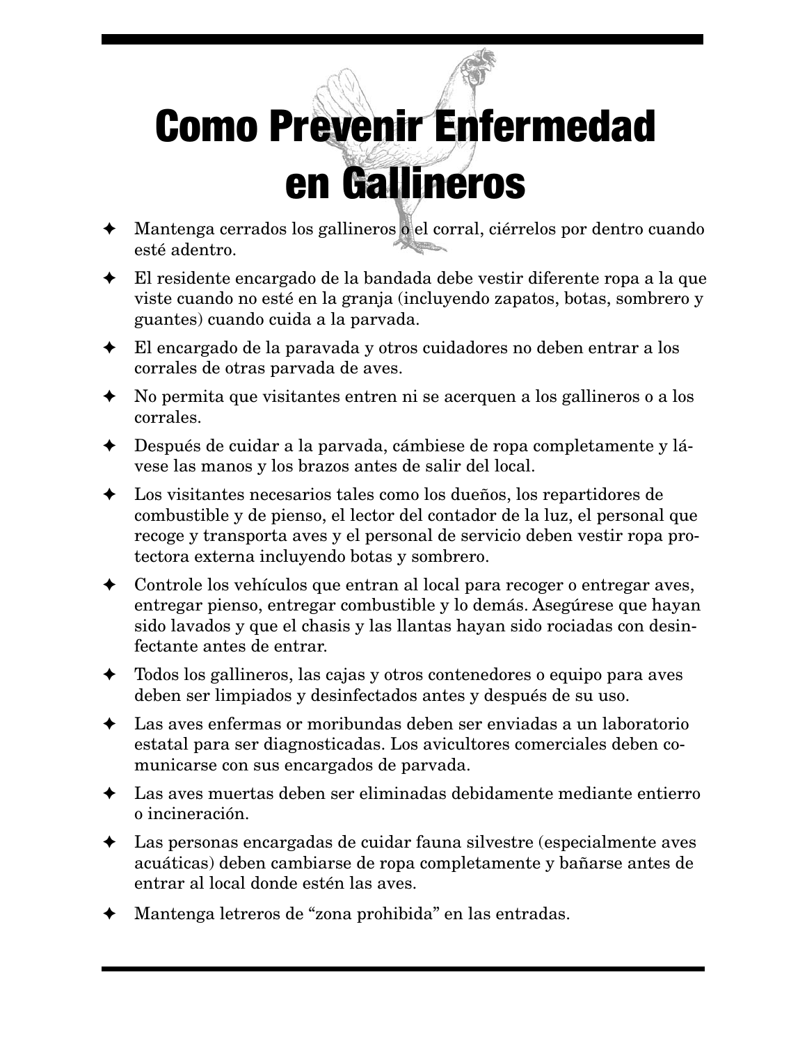## Como Prevenir Enfermedad en Gallineros

- Mantenga cerrados los gallineros o el corral, ciérrelos por dentro cuando esté adentro.
- El residente encargado de la bandada debe vestir diferente ropa a la que viste cuando no esté en la granja (incluyendo zapatos, botas, sombrero y guantes) cuando cuida a la parvada.
- $\blacklozenge$  El encargado de la paravada y otros cuidadores no deben entrar a los corrales de otras parvada de aves.
- No permita que visitantes entren ni se acerquen a los gallineros o a los corrales.
- Después de cuidar a la parvada, cámbiese de ropa completamente y lávese las manos y los brazos antes de salir del local.
- Los visitantes necesarios tales como los dueños, los repartidores de combustible y de pienso, el lector del contador de la luz, el personal que recoge y transporta aves y el personal de servicio deben vestir ropa protectora externa incluyendo botas y sombrero.
- $\triangleleft$  Controle los vehículos que entran al local para recoger o entregar aves, entregar pienso, entregar combustible y lo demás. Asegúrese que hayan sido lavados y que el chasis y las llantas hayan sido rociadas con desinfectante antes de entrar.
- ✦ Todos los gallineros, las cajas y otros contenedores o equipo para aves deben ser limpiados y desinfectados antes y después de su uso.
- Las aves enfermas or moribundas deben ser enviadas a un laboratorio estatal para ser diagnosticadas. Los avicultores comerciales deben comunicarse con sus encargados de parvada.
- Las aves muertas deben ser eliminadas debidamente mediante entierro o incineración.
- Las personas encargadas de cuidar fauna silvestre (especialmente aves acuáticas) deben cambiarse de ropa completamente y bañarse antes de entrar al local donde estén las aves.
- Mantenga letreros de "zona prohibida" en las entradas.